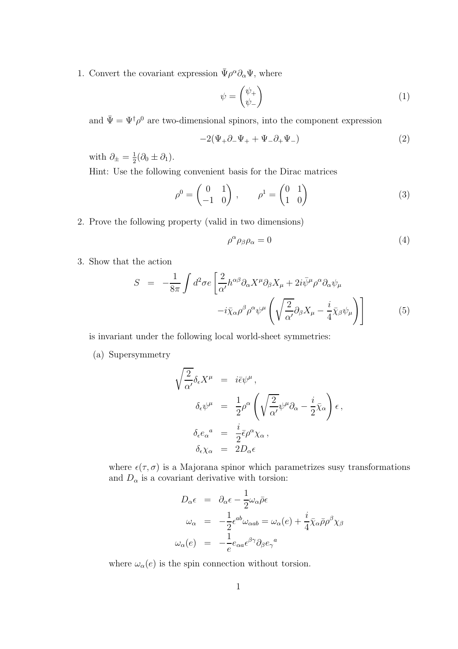1. Convert the covariant expression  $\bar{\Psi} \rho^{\alpha} \partial_{\alpha} \Psi$ , where

$$
\psi = \begin{pmatrix} \psi_+ \\ \psi_- \end{pmatrix} \tag{1}
$$

and  $\bar{\Psi} = \Psi^{\dagger} \rho^0$  are two-dimensional spinors, into the component expression

$$
-2(\Psi_+\partial_-\Psi_+ + \Psi_-\partial_+\Psi_-) \tag{2}
$$

with  $\partial_{\pm} = \frac{1}{2}$  $\frac{1}{2}(\partial_0 \pm \partial_1).$ 

Hint: Use the following convenient basis for the Dirac matrices

$$
\rho^0 = \begin{pmatrix} 0 & 1 \\ -1 & 0 \end{pmatrix}, \qquad \rho^1 = \begin{pmatrix} 0 & 1 \\ 1 & 0 \end{pmatrix} \tag{3}
$$

2. Prove the following property (valid in two dimensions)

$$
\rho^{\alpha}\rho_{\beta}\rho_{\alpha} = 0 \tag{4}
$$

3. Show that the action

$$
S = -\frac{1}{8\pi} \int d^2 \sigma e \left[ \frac{2}{\alpha'} h^{\alpha\beta} \partial_\alpha X^\mu \partial_\beta X_\mu + 2i \bar{\psi}^\mu \rho^\alpha \partial_\alpha \psi_\mu - i \bar{\chi}_\alpha \rho^\beta \rho^\alpha \psi^\mu \left( \sqrt{\frac{2}{\alpha'}} \partial_\beta X_\mu - \frac{i}{4} \bar{\chi}_\beta \psi_\mu \right) \right]
$$
(5)

is invariant under the following local world-sheet symmetries:

(a) Supersymmetry

$$
\begin{aligned}\n\sqrt{\frac{2}{\alpha'}} \delta_{\epsilon} X^{\mu} &= i \bar{\epsilon} \psi^{\mu}, \\
\delta_{\epsilon} \psi^{\mu} &= \frac{1}{2} \rho^{\alpha} \left( \sqrt{\frac{2}{\alpha'}} \psi^{\mu} \partial_{\alpha} - \frac{i}{2} \bar{\chi}_{\alpha} \right) \epsilon, \\
\delta_{\epsilon} e_{\alpha}^{a} &= \frac{i}{2} \bar{\epsilon} \rho^{\alpha} \chi_{\alpha}, \\
\delta_{\epsilon} \chi_{\alpha} &= 2D_{\alpha} \epsilon\n\end{aligned}
$$

where  $\epsilon(\tau, \sigma)$  is a Majorana spinor which parametrizes susy transformations and  $D_{\alpha}$  is a covariant derivative with torsion:

$$
D_{\alpha}\epsilon = \partial_{\alpha}\epsilon - \frac{1}{2}\omega_{\alpha}\bar{\rho}\epsilon
$$
  
\n
$$
\omega_{\alpha} = -\frac{1}{2}\epsilon^{ab}\omega_{\alpha ab} = \omega_{\alpha}(e) + \frac{i}{4}\bar{\chi}_{\alpha}\bar{\rho}\rho^{\beta}\chi_{\beta}
$$
  
\n
$$
\omega_{\alpha}(e) = -\frac{1}{e}e_{\alpha a}\epsilon^{\beta\gamma}\partial_{\beta}e_{\gamma}{}^{a}
$$

where  $\omega_\alpha(e)$  is the spin connection without torsion.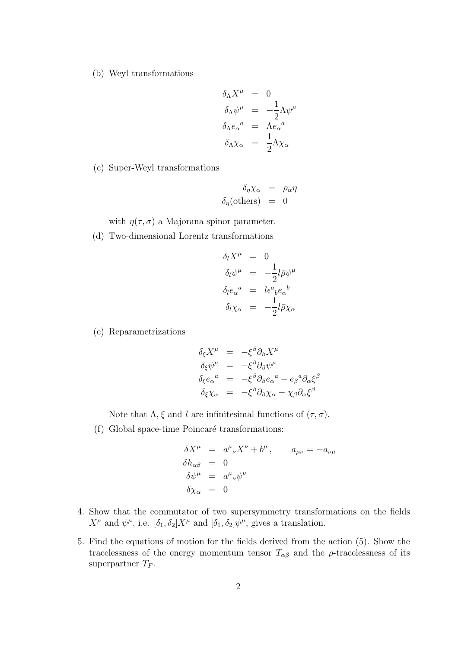(b) Weyl transformations

$$
\delta_{\Lambda} X^{\mu} = 0
$$
  
\n
$$
\delta_{\Lambda} \psi^{\mu} = -\frac{1}{2} \Lambda \psi^{\mu}
$$
  
\n
$$
\delta_{\Lambda} e_{\alpha}{}^{a} = \Lambda e_{\alpha}{}^{a}
$$
  
\n
$$
\delta_{\Lambda} \chi_{\alpha} = \frac{1}{2} \Lambda \chi_{\alpha}
$$

(c) Super-Weyl transformations

$$
\delta_{\eta} \chi_{\alpha} = \rho_{\alpha} \eta
$$
  

$$
\delta_{\eta}(\text{others}) = 0
$$

with  $\eta(\tau, \sigma)$  a Majorana spinor parameter.

(d) Two-dimensional Lorentz transformations

$$
\delta_l X^{\mu} = 0
$$
  
\n
$$
\delta_l \psi^{\mu} = -\frac{1}{2} l \bar{\rho} \psi^{\mu}
$$
  
\n
$$
\delta_l e_{\alpha}^{\ a} = l \epsilon^a{}_b e_{\alpha}^{\ b}
$$
  
\n
$$
\delta_l \chi_{\alpha} = -\frac{1}{2} l \bar{\rho} \chi_{\alpha}
$$

(e) Reparametrizations

$$
\delta_{\xi} X^{\mu} = -\xi^{\beta} \partial_{\beta} X^{\mu}
$$
  
\n
$$
\delta_{\xi} \psi^{\mu} = -\xi^{\beta} \partial_{\beta} \psi^{\mu}
$$
  
\n
$$
\delta_{\xi} e_{\alpha}^{a} = -\xi^{\beta} \partial_{\beta} e_{\alpha}^{a} - e_{\beta}^{a} \partial_{\alpha} \xi^{\beta}
$$
  
\n
$$
\delta_{\xi} \chi_{\alpha} = -\xi^{\beta} \partial_{\beta} \chi_{\alpha} - \chi_{\beta} \partial_{\alpha} \xi^{\beta}
$$

Note that  $\Lambda, \xi$  and l are infinitesimal functions of  $(\tau, \sigma)$ .

(f) Global space-time Poincaré transformations:

$$
\delta X^{\mu} = a^{\mu}{}_{\nu} X^{\nu} + b^{\mu}, \qquad a_{\mu\nu} = -a_{\nu\mu}
$$
  
\n
$$
\delta h_{\alpha\beta} = 0
$$
  
\n
$$
\delta \psi^{\mu} = a^{\mu}{}_{\nu} \psi^{\nu}
$$
  
\n
$$
\delta \chi_{\alpha} = 0
$$

- 4. Show that the commutator of two supersymmetry transformations on the fields  $X^{\mu}$  and  $\psi^{\mu}$ , i.e.  $[\delta_1, \delta_2]X^{\mu}$  and  $[\delta_1, \delta_2]\psi^{\mu}$ , gives a translation.
- 5. Find the equations of motion for the fields derived from the action (5). Show the tracelessness of the energy momentum tensor  $T_{\alpha\beta}$  and the  $\rho$ -tracelessness of its superpartner  $T_F$ .